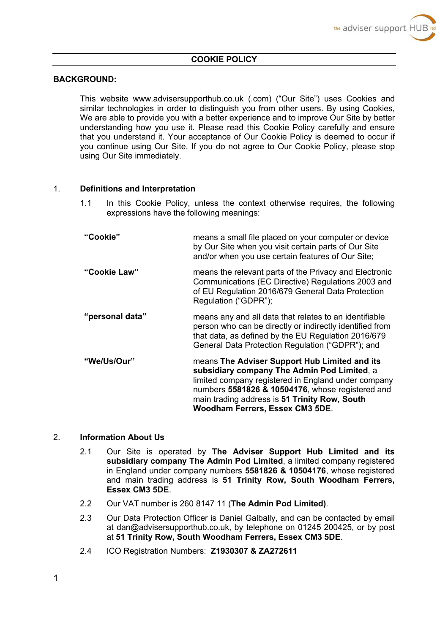#### **COOKIE POLICY**

#### **BACKGROUND:**

This website <www.advisersupporthub.co.uk> (.com) ("Our Site") uses Cookies and similar technologies in order to distinguish you from other users. By using Cookies, We are able to provide you with a better experience and to improve Our Site by better understanding how you use it. Please read this Cookie Policy carefully and ensure that you understand it. Your acceptance of Our Cookie Policy is deemed to occur if you continue using Our Site. If you do not agree to Our Cookie Policy, please stop using Our Site immediately.

#### 1. **Definitions and Interpretation**

- 1.1 In this Cookie Policy, unless the context otherwise requires, the following expressions have the following meanings:
- **"Cookie"** means a small file placed on your computer or device by Our Site when you visit certain parts of Our Site and/or when you use certain features of Our Site; **"Cookie Law"** means the relevant parts of the Privacy and Electronic Communications (EC Directive) Regulations 2003 and of EU Regulation 2016/679 General Data Protection Regulation ("GDPR"); **"personal data"** means any and all data that relates to an identifiable person who can be directly or indirectly identified from that data, as defined by the EU Regulation 2016/679 General Data Protection Regulation ("GDPR"); and **"We/Us/Our"** means **The Adviser Support Hub Limited and its subsidiary company The Admin Pod Limited**, a limited company registered in England under company numbers **5581826 & 10504176**, whose registered and main trading address is **51 Trinity Row, South Woodham Ferrers, Essex CM3 5DE**.

# 2. **Information About Us**

- 2.1 Our Site is operated by **The Adviser Support Hub Limited and its subsidiary company The Admin Pod Limited**, a limited company registered in England under company numbers **5581826 & 10504176**, whose registered and main trading address is **51 Trinity Row, South Woodham Ferrers, Essex CM3 5DE**.
- 2.2 Our VAT number is 260 8147 11 (**The Admin Pod Limited)**.
- 2.3 Our Data Protection Officer is Daniel Galbally, and can be contacted by email at dan@advisersupporthub.co.uk, by telephone on 01245 200425, or by post at **51 Trinity Row, South Woodham Ferrers, Essex CM3 5DE**.
- 2.4 ICO Registration Numbers: **Z1930307 & ZA272611**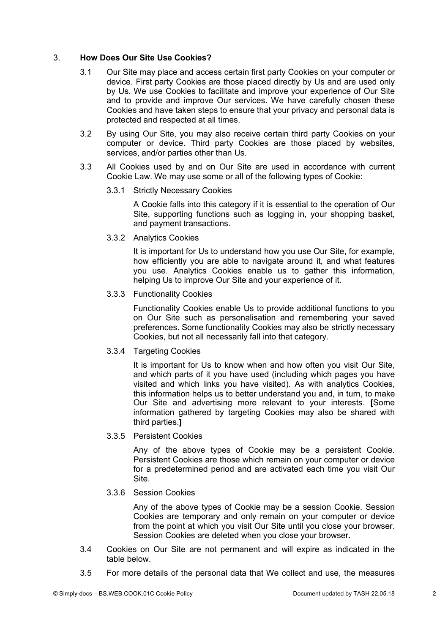# 3. **How Does Our Site Use Cookies?**

- 3.1 Our Site may place and access certain first party Cookies on your computer or device. First party Cookies are those placed directly by Us and are used only by Us. We use Cookies to facilitate and improve your experience of Our Site and to provide and improve Our services. We have carefully chosen these Cookies and have taken steps to ensure that your privacy and personal data is protected and respected at all times.
- 3.2 By using Our Site, you may also receive certain third party Cookies on your computer or device. Third party Cookies are those placed by websites, services, and/or parties other than Us.
- 3.3 All Cookies used by and on Our Site are used in accordance with current Cookie Law. We may use some or all of the following types of Cookie:

# 3.3.1 Strictly Necessary Cookies

A Cookie falls into this category if it is essential to the operation of Our Site, supporting functions such as logging in, your shopping basket, and payment transactions.

3.3.2 Analytics Cookies

It is important for Us to understand how you use Our Site, for example, how efficiently you are able to navigate around it, and what features you use. Analytics Cookies enable us to gather this information, helping Us to improve Our Site and your experience of it.

#### 3.3.3 Functionality Cookies

Functionality Cookies enable Us to provide additional functions to you on Our Site such as personalisation and remembering your saved preferences. Some functionality Cookies may also be strictly necessary Cookies, but not all necessarily fall into that category.

# 3.3.4 Targeting Cookies

It is important for Us to know when and how often you visit Our Site, and which parts of it you have used (including which pages you have visited and which links you have visited). As with analytics Cookies, this information helps us to better understand you and, in turn, to make Our Site and advertising more relevant to your interests. **[**Some information gathered by targeting Cookies may also be shared with third parties.**]**

3.3.5 Persistent Cookies

Any of the above types of Cookie may be a persistent Cookie. Persistent Cookies are those which remain on your computer or device for a predetermined period and are activated each time you visit Our Site.

# 3.3.6 Session Cookies

Any of the above types of Cookie may be a session Cookie. Session Cookies are temporary and only remain on your computer or device from the point at which you visit Our Site until you close your browser. Session Cookies are deleted when you close your browser.

- 3.4 Cookies on Our Site are not permanent and will expire as indicated in the table below.
- 3.5 For more details of the personal data that We collect and use, the measures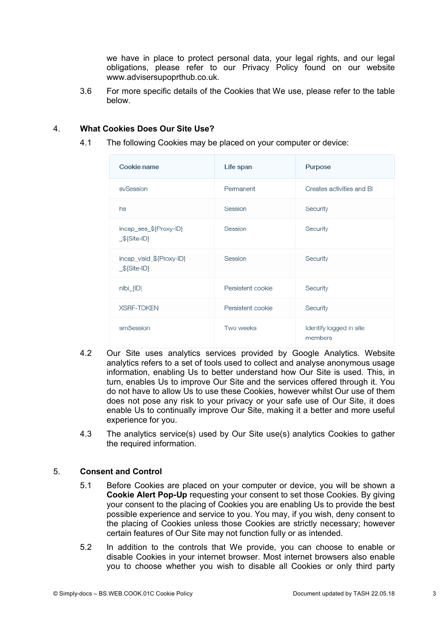we have in place to protect personal data, your legal rights, and our legal obligations, please refer to our Privacy Policy found on our website [www.advisersupoprthub.co.uk.](www.advisersupoprthub.co.uk)

3.6 For more specific details of the Cookies that We use, please refer to the table below.

#### 4. **What Cookies Does Our Site Use?**

4.1 The following Cookies may be placed on your computer or device:

| Cookie name                               | Life span         | Purpose                            |
|-------------------------------------------|-------------------|------------------------------------|
| svSession                                 | Permanent         | Creates activities and BI          |
| hs                                        | Session           | Security                           |
| incap_ses_\${Proxy-ID}<br>$$\$$ {Site-ID} | Session           | Security                           |
| incap_visid_\${Proxy-ID}<br>\${Site-ID}   | Session           | Security                           |
| $n bi_{ }$                                | Persistent cookie | Security                           |
| <b>XSRF-TOKEN</b>                         | Persistent cookie | Security                           |
| smSession                                 | Two weeks         | Identify logged in site<br>members |

- 4.2 Our Site uses analytics services provided by Google Analytics. Website analytics refers to a set of tools used to collect and analyse anonymous usage information, enabling Us to better understand how Our Site is used. This, in turn, enables Us to improve Our Site and the services offered through it. You do not have to allow Us to use these Cookies, however whilst Our use of them does not pose any risk to your privacy or your safe use of Our Site, it does enable Us to continually improve Our Site, making it a better and more useful experience for you.
- 4.3 The analytics service(s) used by Our Site use(s) analytics Cookies to gather the required information.

# 5. **Consent and Control**

- 5.1 Before Cookies are placed on your computer or device, you will be shown a **Cookie Alert Pop-Up** requesting your consent to set those Cookies. By giving your consent to the placing of Cookies you are enabling Us to provide the best possible experience and service to you. You may, if you wish, deny consent to the placing of Cookies unless those Cookies are strictly necessary; however certain features of Our Site may not function fully or as intended.
- 5.2 In addition to the controls that We provide, you can choose to enable or disable Cookies in your internet browser. Most internet browsers also enable you to choose whether you wish to disable all Cookies or only third party